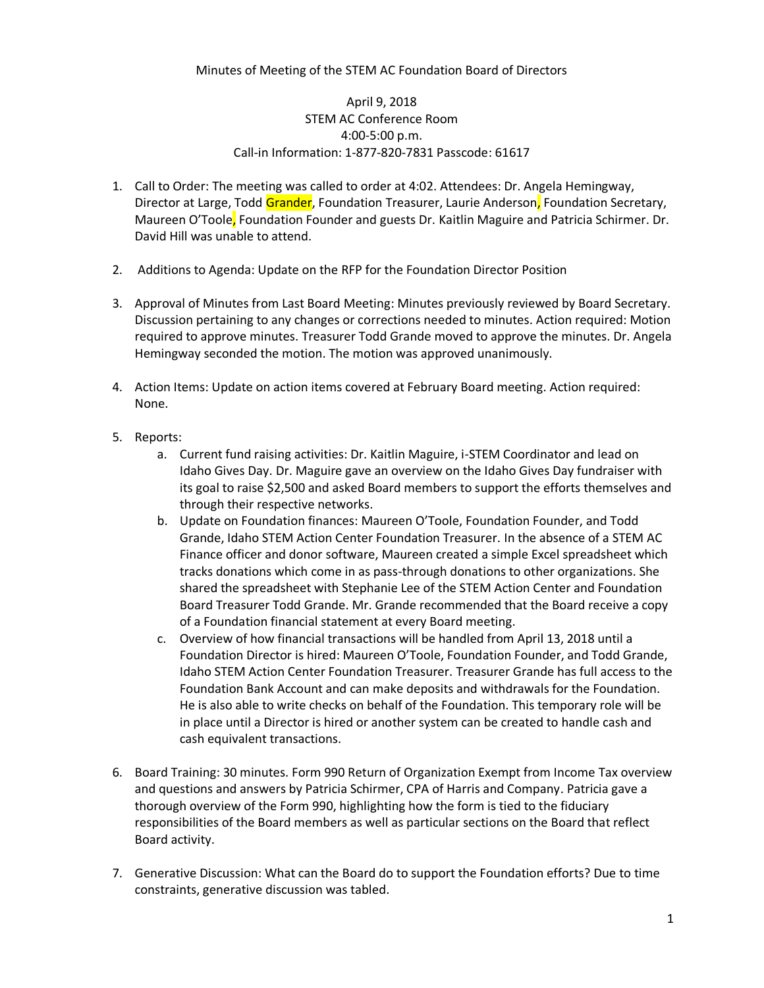## April 9, 2018 STEM AC Conference Room 4:00-5:00 p.m. Call-in Information: 1-877-820-7831 Passcode: 61617

- 1. Call to Order: The meeting was called to order at 4:02. Attendees: Dr. Angela Hemingway, Director at Large, Todd Grander, Foundation Treasurer, Laurie Anderson, Foundation Secretary, Maureen O'Toole, Foundation Founder and guests Dr. Kaitlin Maguire and Patricia Schirmer. Dr. David Hill was unable to attend.
- 2. Additions to Agenda: Update on the RFP for the Foundation Director Position
- 3. Approval of Minutes from Last Board Meeting: Minutes previously reviewed by Board Secretary. Discussion pertaining to any changes or corrections needed to minutes. Action required: Motion required to approve minutes. Treasurer Todd Grande moved to approve the minutes. Dr. Angela Hemingway seconded the motion. The motion was approved unanimously.
- 4. Action Items: Update on action items covered at February Board meeting. Action required: None.
- 5. Reports:
	- a. Current fund raising activities: Dr. Kaitlin Maguire, i-STEM Coordinator and lead on Idaho Gives Day. Dr. Maguire gave an overview on the Idaho Gives Day fundraiser with its goal to raise \$2,500 and asked Board members to support the efforts themselves and through their respective networks.
	- b. Update on Foundation finances: Maureen O'Toole, Foundation Founder, and Todd Grande, Idaho STEM Action Center Foundation Treasurer. In the absence of a STEM AC Finance officer and donor software, Maureen created a simple Excel spreadsheet which tracks donations which come in as pass-through donations to other organizations. She shared the spreadsheet with Stephanie Lee of the STEM Action Center and Foundation Board Treasurer Todd Grande. Mr. Grande recommended that the Board receive a copy of a Foundation financial statement at every Board meeting.
	- c. Overview of how financial transactions will be handled from April 13, 2018 until a Foundation Director is hired: Maureen O'Toole, Foundation Founder, and Todd Grande, Idaho STEM Action Center Foundation Treasurer. Treasurer Grande has full access to the Foundation Bank Account and can make deposits and withdrawals for the Foundation. He is also able to write checks on behalf of the Foundation. This temporary role will be in place until a Director is hired or another system can be created to handle cash and cash equivalent transactions.
- 6. Board Training: 30 minutes. Form 990 Return of Organization Exempt from Income Tax overview and questions and answers by Patricia Schirmer, CPA of Harris and Company. Patricia gave a thorough overview of the Form 990, highlighting how the form is tied to the fiduciary responsibilities of the Board members as well as particular sections on the Board that reflect Board activity.
- 7. Generative Discussion: What can the Board do to support the Foundation efforts? Due to time constraints, generative discussion was tabled.